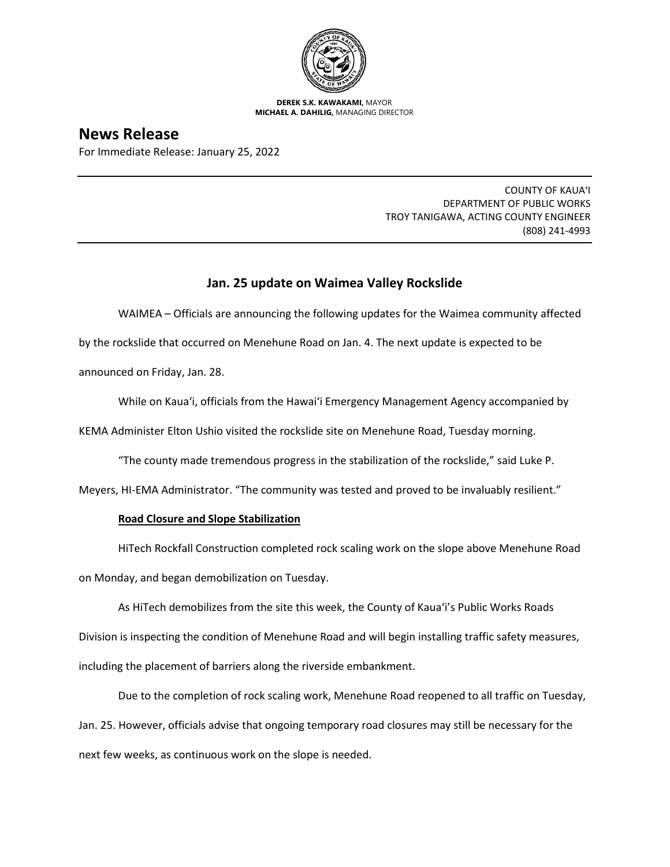

**DEREK S.K. KAWAKAMI,** MAYOR **MICHAEL A. DAHILIG,** MANAGING DIRECTOR

# **News Release**

For Immediate Release: January 25, 2022

COUNTY OF KAUA'I DEPARTMENT OF PUBLIC WORKS TROY TANIGAWA, ACTING COUNTY ENGINEER (808) 241-4993

# **Jan. 25 update on Waimea Valley Rockslide**

WAIMEA – Officials are announcing the following updates for the Waimea community affected by the rockslide that occurred on Menehune Road on Jan. 4. The next update is expected to be announced on Friday, Jan. 28.

While on Kaua'i, officials from the Hawai'i Emergency Management Agency accompanied by

KEMA Administer Elton Ushio visited the rockslide site on Menehune Road, Tuesday morning.

"The county made tremendous progress in the stabilization of the rockslide," said Luke P.

Meyers, HI-EMA Administrator. "The community was tested and proved to be invaluably resilient."

# **Road Closure and Slope Stabilization**

HiTech Rockfall Construction completed rock scaling work on the slope above Menehune Road on Monday, and began demobilization on Tuesday.

As HiTech demobilizes from the site this week, the County of Kaua'i's Public Works Roads Division is inspecting the condition of Menehune Road and will begin installing traffic safety measures, including the placement of barriers along the riverside embankment.

Due to the completion of rock scaling work, Menehune Road reopened to all traffic on Tuesday, Jan. 25. However, officials advise that ongoing temporary road closures may still be necessary for the next few weeks, as continuous work on the slope is needed.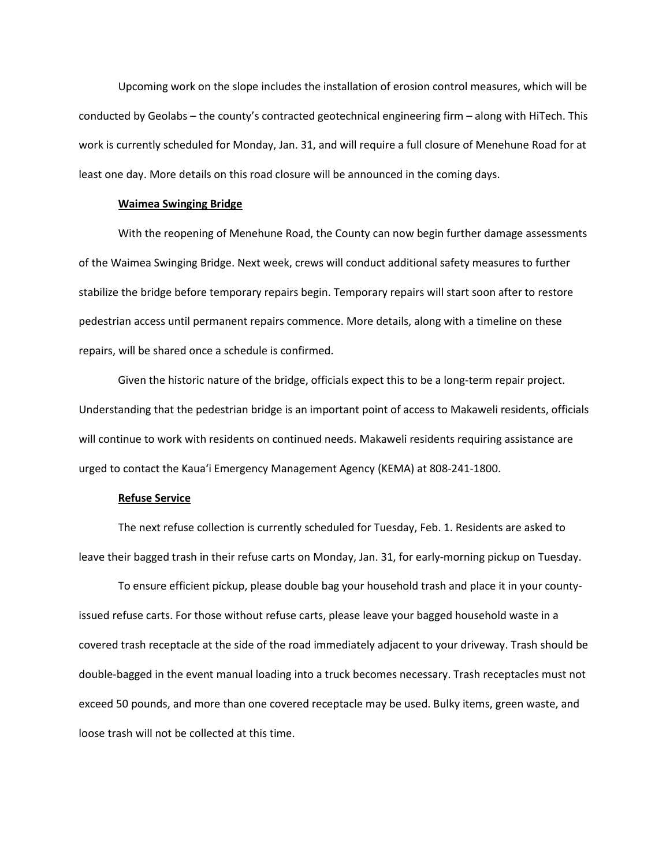Upcoming work on the slope includes the installation of erosion control measures, which will be conducted by Geolabs – the county's contracted geotechnical engineering firm – along with HiTech. This work is currently scheduled for Monday, Jan. 31, and will require a full closure of Menehune Road for at least one day. More details on this road closure will be announced in the coming days.

### **Waimea Swinging Bridge**

With the reopening of Menehune Road, the County can now begin further damage assessments of the Waimea Swinging Bridge. Next week, crews will conduct additional safety measures to further stabilize the bridge before temporary repairs begin. Temporary repairs will start soon after to restore pedestrian access until permanent repairs commence. More details, along with a timeline on these repairs, will be shared once a schedule is confirmed.

Given the historic nature of the bridge, officials expect this to be a long-term repair project. Understanding that the pedestrian bridge is an important point of access to Makaweli residents, officials will continue to work with residents on continued needs. Makaweli residents requiring assistance are urged to contact the Kaua'i Emergency Management Agency (KEMA) at 808-241-1800.

#### **Refuse Service**

The next refuse collection is currently scheduled for Tuesday, Feb. 1. Residents are asked to leave their bagged trash in their refuse carts on Monday, Jan. 31, for early-morning pickup on Tuesday.

To ensure efficient pickup, please double bag your household trash and place it in your countyissued refuse carts. For those without refuse carts, please leave your bagged household waste in a covered trash receptacle at the side of the road immediately adjacent to your driveway. Trash should be double-bagged in the event manual loading into a truck becomes necessary. Trash receptacles must not exceed 50 pounds, and more than one covered receptacle may be used. Bulky items, green waste, and loose trash will not be collected at this time.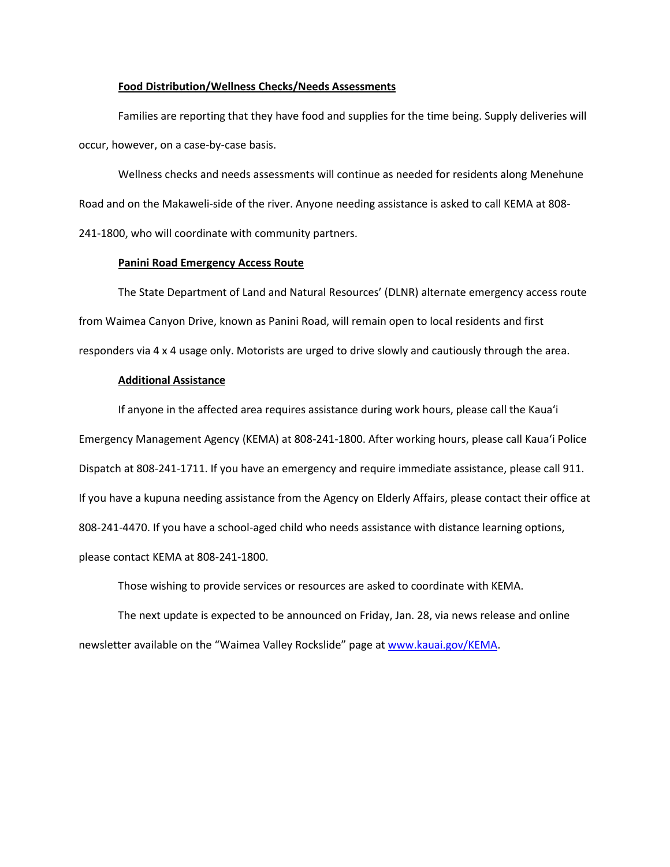#### **Food Distribution/Wellness Checks/Needs Assessments**

Families are reporting that they have food and supplies for the time being. Supply deliveries will occur, however, on a case-by-case basis.

Wellness checks and needs assessments will continue as needed for residents along Menehune Road and on the Makaweli-side of the river. Anyone needing assistance is asked to call KEMA at 808- 241-1800, who will coordinate with community partners.

#### **Panini Road Emergency Access Route**

The State Department of Land and Natural Resources' (DLNR) alternate emergency access route from Waimea Canyon Drive, known as Panini Road, will remain open to local residents and first responders via 4 x 4 usage only. Motorists are urged to drive slowly and cautiously through the area.

## **Additional Assistance**

If anyone in the affected area requires assistance during work hours, please call the Kaua'i Emergency Management Agency (KEMA) at 808-241-1800. After working hours, please call Kaua'i Police Dispatch at 808-241-1711. If you have an emergency and require immediate assistance, please call 911. If you have a kupuna needing assistance from the Agency on Elderly Affairs, please contact their office at 808-241-4470. If you have a school-aged child who needs assistance with distance learning options, please contact KEMA at 808-241-1800.

Those wishing to provide services or resources are asked to coordinate with KEMA.

The next update is expected to be announced on Friday, Jan. 28, via news release and online newsletter available on the "Waimea Valley Rockslide" page a[t www.kauai.gov/KEMA.](http://www.kauai.gov/KEMA)